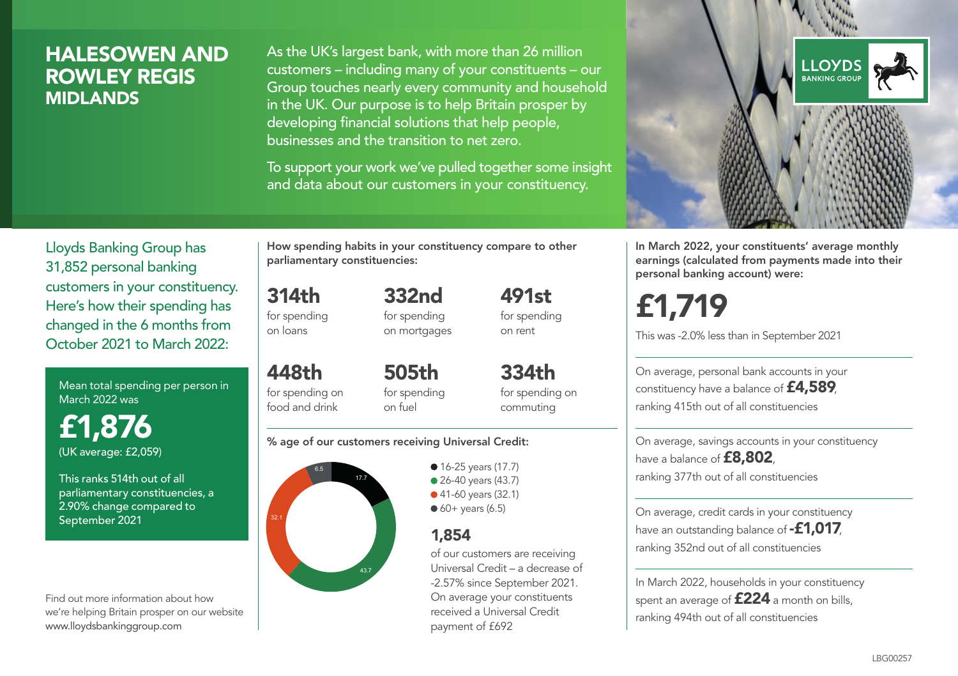### HALESOWEN AND ROWLEY REGIS MIDLANDS

As the UK's largest bank, with more than 26 million customers – including many of your constituents – our Group touches nearly every community and household in the UK. Our purpose is to help Britain prosper by developing financial solutions that help people, businesses and the transition to net zero.

To support your work we've pulled together some insight and data about our customers in your constituency.



Mean total spending per person in March 2022 was

£1,876 (UK average: £2,059)

This ranks 514th out of all parliamentary constituencies, a 2.90% change compared to September 2021

Find out more information about how we're helping Britain prosper on our website www.lloydsbankinggroup.com

How spending habits in your constituency compare to other parliamentary constituencies:

314th for spending on loans

448th for spending on food and drink

for spending on mortgages

332nd

491st for spending on rent

505th for spending on fuel

334th for spending on commuting

#### % age of our customers receiving Universal Credit:



● 16-25 years (17.7) • 26-40 years (43.7) ● 41-60 years (32.1)  $60+$  years (6.5)

### 1,854

of our customers are receiving Universal Credit – a decrease of -2.57% since September 2021. On average your constituents received a Universal Credit payment of £692



In March 2022, your constituents' average monthly earnings (calculated from payments made into their personal banking account) were:

£1,719

This was -2.0% less than in September 2021

On average, personal bank accounts in your constituency have a balance of £4,589, ranking 415th out of all constituencies

On average, savings accounts in your constituency have a balance of **£8,802**, ranking 377th out of all constituencies

On average, credit cards in your constituency have an outstanding balance of **-£1,017** ranking 352nd out of all constituencies

In March 2022, households in your constituency spent an average of £224 a month on bills, ranking 494th out of all constituencies